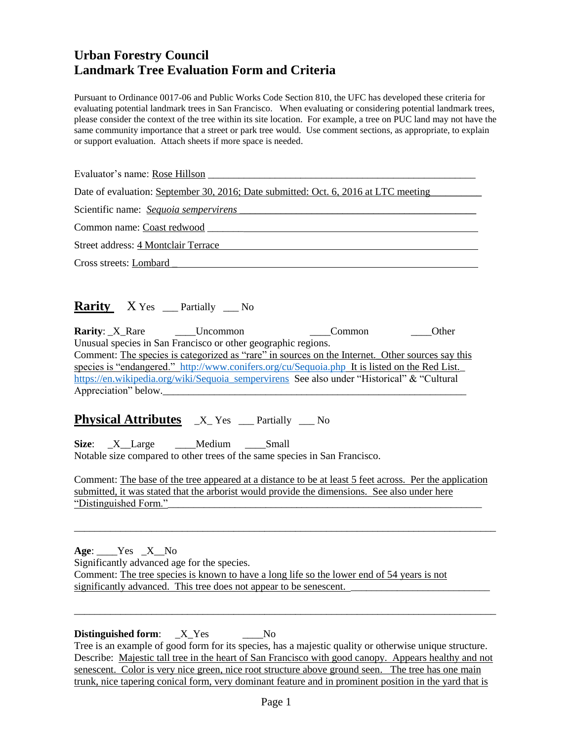# **Urban Forestry Council Landmark Tree Evaluation Form and Criteria**

Pursuant to Ordinance 0017-06 and Public Works Code Section 810, the UFC has developed these criteria for evaluating potential landmark trees in San Francisco. When evaluating or considering potential landmark trees, please consider the context of the tree within its site location. For example, a tree on PUC land may not have the same community importance that a street or park tree would. Use comment sections, as appropriate, to explain or support evaluation. Attach sheets if more space is needed.

Evaluator's name: Rose Hillson Date of evaluation: September 30, 2016; Date submitted: Oct. 6, 2016 at LTC meeting Scientific name: *Sequoia sempervirens* \_\_\_\_\_\_\_\_\_\_\_\_\_\_\_\_\_\_\_\_\_\_\_\_\_\_\_\_\_\_\_\_\_\_\_\_\_\_\_\_\_\_\_\_\_\_ Common name: Coast redwood \_\_\_\_\_\_\_ Street address: 4 Montclair Terrace Cross streets: Lombard \_

## **Rarity** X Yes \_\_\_ Partially \_\_\_ No

**Rarity**: \_X\_Rare \_\_\_\_Uncommon \_\_\_\_Common \_\_\_\_Other Unusual species in San Francisco or other geographic regions. Comment: The species is categorized as "rare" in sources on the Internet. Other sources say this species is "endangered." <http://www.conifers.org/cu/Sequoia.php>It is listed on the Red List. [https://en.wikipedia.org/wiki/Sequoia\\_sempervirens](https://en.wikipedia.org/wiki/Sequoia_sempervirens) See also under "Historical" & "Cultural Appreciation" below.

## **Physical Attributes**  $X$ <sup>res</sup>  $\_\_$  Partially  $\_\_$  No

**Size**: X Large Medium Small Notable size compared to other trees of the same species in San Francisco.

Comment: The base of the tree appeared at a distance to be at least 5 feet across. Per the application submitted, it was stated that the arborist would provide the dimensions. See also under here "Distinguished Form."\_\_\_\_\_\_\_\_\_\_\_\_\_\_\_\_\_\_\_\_\_\_\_\_\_\_\_\_\_\_\_\_\_\_\_\_\_\_\_\_\_\_\_\_\_\_\_\_\_\_\_\_\_\_\_\_\_\_\_\_\_

\_\_\_\_\_\_\_\_\_\_\_\_\_\_\_\_\_\_\_\_\_\_\_\_\_\_\_\_\_\_\_\_\_\_\_\_\_\_\_\_\_\_\_\_\_\_\_\_\_\_\_\_\_\_\_\_\_\_\_\_\_\_\_\_\_\_\_\_\_\_\_\_\_\_\_\_\_\_\_\_\_\_

**Age**: \_\_\_\_Yes \_X\_\_No Significantly advanced age for the species. Comment: The tree species is known to have a long life so the lower end of 54 years is not significantly advanced. This tree does not appear to be senescent.

**Distinguished form:** \_X\_Yes \_\_\_\_No Tree is an example of good form for its species, has a majestic quality or otherwise unique structure. Describe: Majestic tall tree in the heart of San Francisco with good canopy. Appears healthy and not senescent. Color is very nice green, nice root structure above ground seen. The tree has one main trunk, nice tapering conical form, very dominant feature and in prominent position in the yard that is

\_\_\_\_\_\_\_\_\_\_\_\_\_\_\_\_\_\_\_\_\_\_\_\_\_\_\_\_\_\_\_\_\_\_\_\_\_\_\_\_\_\_\_\_\_\_\_\_\_\_\_\_\_\_\_\_\_\_\_\_\_\_\_\_\_\_\_\_\_\_\_\_\_\_\_\_\_\_\_\_\_\_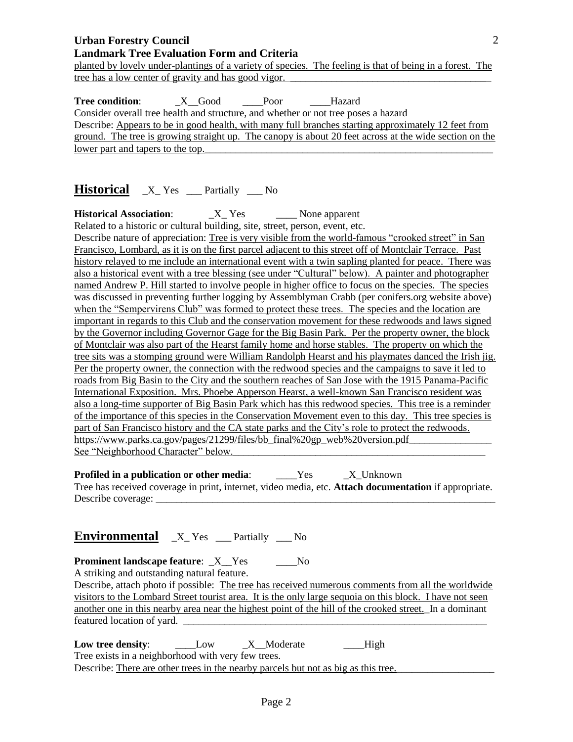planted by lovely under-plantings of a variety of species. The feeling is that of being in a forest. The tree has a low center of gravity and has good vigor.

**Tree condition**: \_X\_\_Good \_\_\_\_Poor \_\_\_\_Hazard Consider overall tree health and structure, and whether or not tree poses a hazard Describe: Appears to be in good health, with many full branches starting approximately 12 feet from ground. The tree is growing straight up. The canopy is about 20 feet across at the wide section on the lower part and tapers to the top.

# **Historical**  $X$ <sup>res</sup> Partially No

**Historical Association:** \_\_\_\_\_ X\_ Yes \_\_\_\_\_\_\_ None apparent Related to a historic or cultural building, site, street, person, event, etc.

Describe nature of appreciation: Tree is very visible from the world-famous "crooked street" in San Francisco, Lombard, as it is on the first parcel adjacent to this street off of Montclair Terrace. Past history relayed to me include an international event with a twin sapling planted for peace. There was also a historical event with a tree blessing (see under "Cultural" below). A painter and photographer named Andrew P. Hill started to involve people in higher office to focus on the species. The species was discussed in preventing further logging by Assemblyman Crabb (per conifers.org website above) when the "Sempervirens Club" was formed to protect these trees. The species and the location are important in regards to this Club and the conservation movement for these redwoods and laws signed by the Governor including Governor Gage for the Big Basin Park. Per the property owner, the block of Montclair was also part of the Hearst family home and horse stables. The property on which the tree sits was a stomping ground were William Randolph Hearst and his playmates danced the Irish jig. Per the property owner, the connection with the redwood species and the campaigns to save it led to roads from Big Basin to the City and the southern reaches of San Jose with the 1915 Panama-Pacific International Exposition. Mrs. Phoebe Apperson Hearst, a well-known San Francisco resident was also a long-time supporter of Big Basin Park which has this redwood species. This tree is a reminder of the importance of this species in the Conservation Movement even to this day. This tree species is part of San Francisco history and the CA state parks and the City's role to protect the redwoods. https://www.parks.ca.gov/pages/21299/files/bb\_final%20gp\_web%20version.pdf See "Neighborhood Character" below.

**Profiled in a publication or other media:** \_\_\_\_Yes \_\_\_\_X\_Unknown Tree has received coverage in print, internet, video media, etc. **Attach documentation** if appropriate. Describe coverage:

## **Environmental** \_X\_ Yes \_\_\_ Partially \_\_\_ No

**Prominent landscape feature:**  $X$  Yes No

A striking and outstanding natural feature.

Describe, attach photo if possible: The tree has received numerous comments from all the worldwide visitors to the Lombard Street tourist area. It is the only large sequoia on this block. I have not seen another one in this nearby area near the highest point of the hill of the crooked street. In a dominant featured location of vard.

**Low tree density:** \_\_\_\_\_\_\_\_Low \_\_\_\_\_\_X\_\_Moderate \_\_\_\_\_\_\_\_\_High Tree exists in a neighborhood with very few trees. Describe: There are other trees in the nearby parcels but not as big as this tree.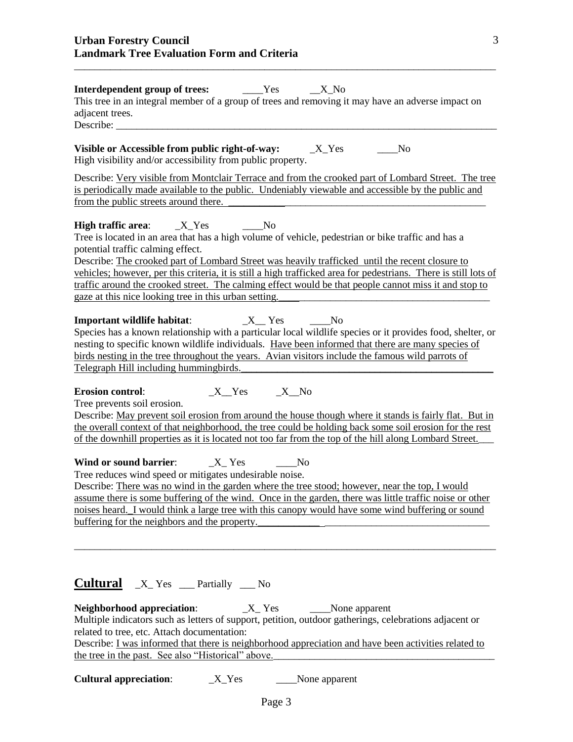| <b>Interdependent group of trees:</b> ______Yes<br>X No<br>This tree in an integral member of a group of trees and removing it may have an adverse impact on<br>adjacent trees.<br>Describe:                                                                                                                                                                                                                                                                                                                                                                                                                                                                                                                                                                                                                                            |
|-----------------------------------------------------------------------------------------------------------------------------------------------------------------------------------------------------------------------------------------------------------------------------------------------------------------------------------------------------------------------------------------------------------------------------------------------------------------------------------------------------------------------------------------------------------------------------------------------------------------------------------------------------------------------------------------------------------------------------------------------------------------------------------------------------------------------------------------|
| Visible or Accessible from public right-of-way: _________________________________<br>$\sqrt{N_0}$<br>High visibility and/or accessibility from public property.                                                                                                                                                                                                                                                                                                                                                                                                                                                                                                                                                                                                                                                                         |
| Describe: Very visible from Montclair Terrace and from the crooked part of Lombard Street. The tree<br>is periodically made available to the public. Undeniably viewable and accessible by the public and<br>from the public streets around there.                                                                                                                                                                                                                                                                                                                                                                                                                                                                                                                                                                                      |
| Tree is located in an area that has a high volume of vehicle, pedestrian or bike traffic and has a<br>potential traffic calming effect.<br>Describe: The crooked part of Lombard Street was heavily trafficked until the recent closure to<br>vehicles; however, per this criteria, it is still a high trafficked area for pedestrians. There is still lots of<br>traffic around the crooked street. The calming effect would be that people cannot miss it and stop to<br>gaze at this nice looking tree in this urban setting.                                                                                                                                                                                                                                                                                                        |
| Species has a known relationship with a particular local wildlife species or it provides food, shelter, or<br>nesting to specific known wildlife individuals. Have been informed that there are many species of<br>birds nesting in the tree throughout the years. Avian visitors include the famous wild parrots of<br>Telegraph Hill including hummingbirds.                                                                                                                                                                                                                                                                                                                                                                                                                                                                          |
| $X_Y$ es $X_N$ o<br><b>Erosion control:</b><br>Tree prevents soil erosion.<br>Describe: May prevent soil erosion from around the house though where it stands is fairly flat. But in<br>the overall context of that neighborhood, the tree could be holding back some soil erosion for the rest<br>of the downhill properties as it is located not too far from the top of the hill along Lombard Street.<br>Tree reduces wind speed or mitigates undesirable noise.<br>Describe: There was no wind in the garden where the tree stood; however, near the top, I would<br>assume there is some buffering of the wind. Once in the garden, there was little traffic noise or other<br>noises heard. I would think a large tree with this canopy would have some wind buffering or sound<br>buffering for the neighbors and the property. |
| <b>Cultural</b> X Yes Partially No<br><b>Neighborhood appreciation:</b><br>$X_Y$<br>None apparent<br>Multiple indicators such as letters of support, petition, outdoor gatherings, celebrations adjacent or<br>related to tree, etc. Attach documentation:<br>Describe: I was informed that there is neighborhood appreciation and have been activities related to<br>the tree in the past. See also "Historical" above.                                                                                                                                                                                                                                                                                                                                                                                                                |
| <b>Cultural appreciation:</b><br>$X_Y$ es<br>None apparent                                                                                                                                                                                                                                                                                                                                                                                                                                                                                                                                                                                                                                                                                                                                                                              |

\_\_\_\_\_\_\_\_\_\_\_\_\_\_\_\_\_\_\_\_\_\_\_\_\_\_\_\_\_\_\_\_\_\_\_\_\_\_\_\_\_\_\_\_\_\_\_\_\_\_\_\_\_\_\_\_\_\_\_\_\_\_\_\_\_\_\_\_\_\_\_\_\_\_\_\_\_\_\_\_\_\_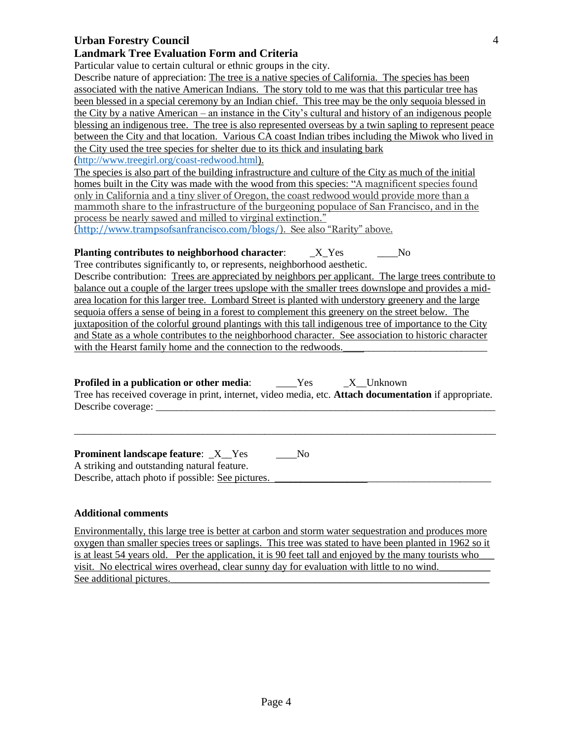### **Urban Forestry Council**

#### **Landmark Tree Evaluation Form and Criteria**

Particular value to certain cultural or ethnic groups in the city.

Describe nature of appreciation: The tree is a native species of California. The species has been associated with the native American Indians. The story told to me was that this particular tree has been blessed in a special ceremony by an Indian chief. This tree may be the only sequoia blessed in the City by a native American – an instance in the City's cultural and history of an indigenous people blessing an indigenous tree. The tree is also represented overseas by a twin sapling to represent peace between the City and that location. Various CA coast Indian tribes including the Miwok who lived in the City used the tree species for shelter due to its thick and insulating bark [\(http://www.treegirl.org/coast-redwood.html\)](http://www.treegirl.org/coast-redwood.html).

The species is also part of the building infrastructure and culture of the City as much of the initial homes built in the City was made with the wood from this species: "A magnificent species found only in California and a tiny sliver of Oregon, the coast redwood would provide more than a mammoth share to the infrastructure of the burgeoning populace of San Francisco, and in the process be nearly sawed and milled to virginal extinction."

[\(http://www.trampsofsanfrancisco.com/blogs/\)](http://www.trampsofsanfrancisco.com/blogs/). See also "Rarity" above.

#### **Planting contributes to neighborhood character:**  $X_Y$ es \_\_\_No

Tree contributes significantly to, or represents, neighborhood aesthetic. Describe contribution: Trees are appreciated by neighbors per applicant. The large trees contribute to balance out a couple of the larger trees upslope with the smaller trees downslope and provides a midarea location for this larger tree. Lombard Street is planted with understory greenery and the large sequoia offers a sense of being in a forest to complement this greenery on the street below. The juxtaposition of the colorful ground plantings with this tall indigenous tree of importance to the City and State as a whole contributes to the neighborhood character. See association to historic character with the Hearst family home and the connection to the redwoods.

**Profiled in a publication or other media:** \_\_\_\_Yes \_\_\_\_X\_Unknown Tree has received coverage in print, internet, video media, etc. **Attach documentation** if appropriate. Describe coverage:

\_\_\_\_\_\_\_\_\_\_\_\_\_\_\_\_\_\_\_\_\_\_\_\_\_\_\_\_\_\_\_\_\_\_\_\_\_\_\_\_\_\_\_\_\_\_\_\_\_\_\_\_\_\_\_\_\_\_\_\_\_\_\_\_\_\_\_\_\_\_\_\_\_\_\_\_\_\_\_\_\_\_

**Prominent landscape feature:**  $X$  Yes No A striking and outstanding natural feature. Describe, attach photo if possible: See pictures.

#### **Additional comments**

Environmentally, this large tree is better at carbon and storm water sequestration and produces more oxygen than smaller species trees or saplings. This tree was stated to have been planted in 1962 so it is at least 54 years old. Per the application, it is 90 feet tall and enjoyed by the many tourists who visit. No electrical wires overhead, clear sunny day for evaluation with little to no wind. See additional pictures.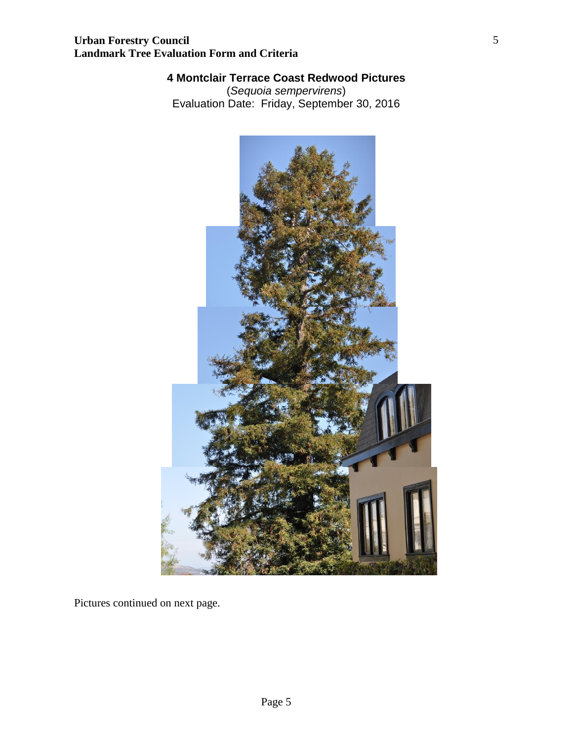## **4 Montclair Terrace Coast Redwood Pictures**

(*Sequoia sempervirens*) Evaluation Date: Friday, September 30, 2016



Pictures continued on next page.